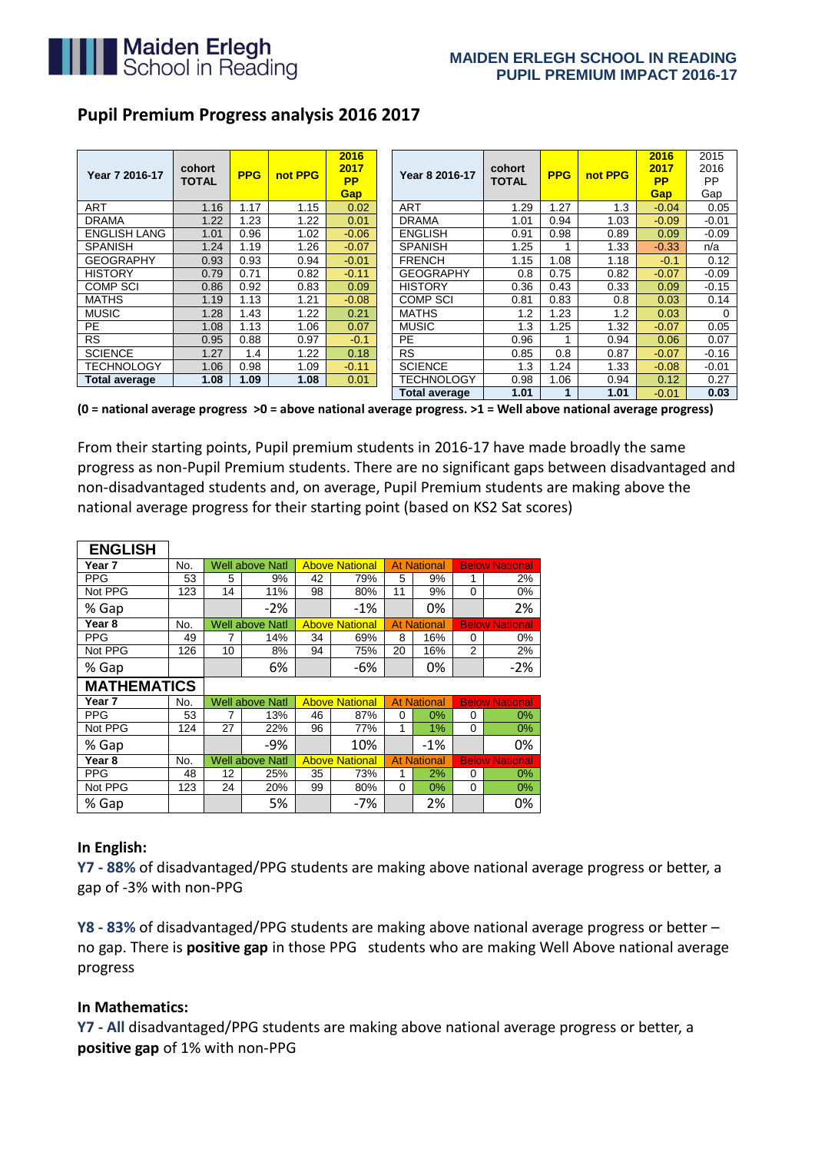

# **Pupil Premium Progress analysis 2016 2017**

| Year 7 2016-17       | cohort<br><b>TOTAL</b> | <b>PPG</b> | not PPG | 2016<br>2017<br><b>PP</b><br><b>Gap</b> | Year 8 2016-17       | cohort<br><b>TOTAL</b> | <b>PPG</b> | not PPG | 2016<br>2017<br><b>PP</b><br>Gap | 2015<br>2016<br><b>PP</b><br>Gap |
|----------------------|------------------------|------------|---------|-----------------------------------------|----------------------|------------------------|------------|---------|----------------------------------|----------------------------------|
| <b>ART</b>           | 1.16                   | 1.17       | 1.15    | 0.02                                    | <b>ART</b>           | 1.29                   | 1.27       | 1.3     | $-0.04$                          | 0.05                             |
| <b>DRAMA</b>         | 1.22                   | 1.23       | 1.22    | 0.01                                    | <b>DRAMA</b>         | 1.01                   | 0.94       | 1.03    | $-0.09$                          | $-0.01$                          |
| <b>ENGLISH LANG</b>  | 1.01                   | 0.96       | 1.02    | $-0.06$                                 | <b>ENGLISH</b>       | 0.91                   | 0.98       | 0.89    | 0.09                             | $-0.09$                          |
| <b>SPANISH</b>       | 1.24                   | 1.19       | 1.26    | $-0.07$                                 | <b>SPANISH</b>       | 1.25                   |            | 1.33    | $-0.33$                          | n/a                              |
| <b>GEOGRAPHY</b>     | 0.93                   | 0.93       | 0.94    | $-0.01$                                 | <b>FRENCH</b>        | 1.15                   | 1.08       | 1.18    | $-0.1$                           | 0.12                             |
| <b>HISTORY</b>       | 0.79                   | 0.71       | 0.82    | $-0.11$                                 | <b>GEOGRAPHY</b>     | 0.8                    | 0.75       | 0.82    | $-0.07$                          | $-0.09$                          |
| <b>COMP SCI</b>      | 0.86                   | 0.92       | 0.83    | 0.09                                    | <b>HISTORY</b>       | 0.36                   | 0.43       | 0.33    | 0.09                             | $-0.15$                          |
| <b>MATHS</b>         | 1.19                   | 1.13       | 1.21    | $-0.08$                                 | <b>COMP SCI</b>      | 0.81                   | 0.83       | 0.8     | 0.03                             | 0.14                             |
| <b>MUSIC</b>         | 1.28                   | 1.43       | 1.22    | 0.21                                    | <b>MATHS</b>         | 1.2                    | 1.23       | 1.2     | 0.03                             | $\Omega$                         |
| <b>PE</b>            | 1.08                   | 1.13       | 1.06    | 0.07                                    | <b>MUSIC</b>         | 1.3                    | 1.25       | 1.32    | $-0.07$                          | 0.05                             |
| <b>RS</b>            | 0.95                   | 0.88       | 0.97    | $-0.1$                                  | <b>PE</b>            | 0.96                   |            | 0.94    | 0.06                             | 0.07                             |
| <b>SCIENCE</b>       | 1.27                   | 1.4        | 1.22    | 0.18                                    | <b>RS</b>            | 0.85                   | 0.8        | 0.87    | $-0.07$                          | $-0.16$                          |
| <b>TECHNOLOGY</b>    | 1.06                   | 0.98       | 1.09    | $-0.11$                                 | <b>SCIENCE</b>       | 1.3                    | 1.24       | 1.33    | $-0.08$                          | $-0.01$                          |
| <b>Total average</b> | 1.08                   | 1.09       | 1.08    | 0.01                                    | <b>TECHNOLOGY</b>    | 0.98                   | 1.06       | 0.94    | 0.12                             | 0.27                             |
|                      |                        |            |         |                                         | <b>Total average</b> | 1.01                   |            | 1.01    | $-0.01$                          | 0.03                             |

**(0 = national average progress >0 = above national average progress. >1 = Well above national average progress)**

From their starting points, Pupil premium students in 2016-17 have made broadly the same progress as non-Pupil Premium students. There are no significant gaps between disadvantaged and non-disadvantaged students and, on average, Pupil Premium students are making above the national average progress for their starting point (based on KS2 Sat scores)

| <b>ENGLISH</b>     |     |    |                        |    |                       |    |                    |                |                       |
|--------------------|-----|----|------------------------|----|-----------------------|----|--------------------|----------------|-----------------------|
| Year 7             | No. |    | <b>Well above Natl</b> |    | <b>Above National</b> |    | <b>At National</b> |                | <b>Below National</b> |
| <b>PPG</b>         | 53  | 5  | 9%                     | 42 | 79%                   | 5  | 9%                 | 1              | 2%                    |
| Not PPG            | 123 | 14 | 11%                    | 98 | 80%                   | 11 | 9%                 | $\mathbf{0}$   | 0%                    |
| % Gap              |     |    | $-2%$                  |    | $-1%$                 |    | 0%                 |                | 2%                    |
| Year 8             | No. |    | <b>Well above Natl</b> |    | <b>Above National</b> |    | <b>At National</b> |                | <b>Below National</b> |
| <b>PPG</b>         | 49  | 7  | 14%                    | 34 | 69%                   | 8  | 16%                | 0              | $0\%$                 |
| Not PPG            | 126 | 10 | 8%                     | 94 | 75%                   | 20 | 16%                | $\overline{2}$ | 2%                    |
| % Gap              |     |    | 6%                     |    | -6%                   |    | 0%                 |                | $-2%$                 |
|                    |     |    |                        |    |                       |    |                    |                |                       |
| <b>MATHEMATICS</b> |     |    |                        |    |                       |    |                    |                |                       |
| Year 7             | No. |    | <b>Well above Natl</b> |    | <b>Above National</b> |    | <b>At National</b> |                | <b>Below National</b> |
| <b>PPG</b>         | 53  | 7  | 13%                    | 46 | 87%                   | 0  | 0%                 | 0              | 0%                    |
| Not PPG            | 124 | 27 | 22%                    | 96 | 77%                   | 1  | 1%                 | 0              | 0%                    |
| % Gap              |     |    | -9%                    |    | 10%                   |    | $-1%$              |                | 0%                    |
| Year 8             | No. |    | <b>Well above Natl</b> |    | <b>Above National</b> |    | <b>At National</b> |                | <b>Below National</b> |
| <b>PPG</b>         | 48  | 12 | 25%                    | 35 | 73%                   | 1  | 2%                 | 0              | 0%                    |
| Not PPG            | 123 | 24 | 20%                    | 99 | 80%                   | 0  | 0%                 | 0              | 0%                    |

### **In English:**

**Y7 - 88%** of disadvantaged/PPG students are making above national average progress or better, a gap of -3% with non-PPG

**Y8 - 83%** of disadvantaged/PPG students are making above national average progress or better – no gap. There is **positive gap** in those PPG students who are making Well Above national average progress

### **In Mathematics:**

**Y7 - All** disadvantaged/PPG students are making above national average progress or better, a **positive gap** of 1% with non-PPG